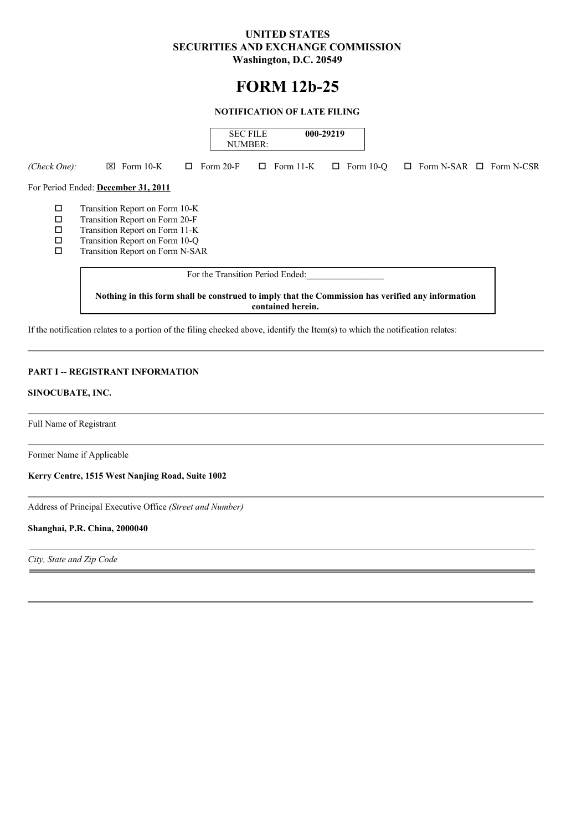# **UNITED STATES SECURITIES AND EXCHANGE COMMISSION Washington, D.C. 20549**

# **FORM 12b-25**

## **NOTIFICATION OF LATE FILING**

|                                      |                                                                                                                                                                         |   | <b>SEC FILE</b><br>NUMBER: |           | 000-29219 |                  |                              |  |  |
|--------------------------------------|-------------------------------------------------------------------------------------------------------------------------------------------------------------------------|---|----------------------------|-----------|-----------|------------------|------------------------------|--|--|
| (Check One):                         | $\boxtimes$ Form 10-K                                                                                                                                                   | ⊔ | Form 20-F<br>U.            | Form 11-K | □         | Form $10-°$<br>□ | Form N-SAR $\Box$ Form N-CSR |  |  |
|                                      | For Period Ended: December 31, 2011                                                                                                                                     |   |                            |           |           |                  |                              |  |  |
| □<br>$\Box$<br>$\Box$<br>$\Box$<br>□ | Transition Report on Form 10-K<br>Transition Report on Form 20-F<br>Transition Report on Form 11-K<br>Transition Report on Form 10-Q<br>Transition Report on Form N-SAR |   |                            |           |           |                  |                              |  |  |
|                                      |                                                                                                                                                                         |   |                            |           |           |                  |                              |  |  |
|                                      | Nothing in this form shall be construed to imply that the Commission has verified any information<br>contained herein.                                                  |   |                            |           |           |                  |                              |  |  |

If the notification relates to a portion of the filing checked above, identify the Item(s) to which the notification relates:

# **PART I -- REGISTRANT INFORMATION**

### **SINOCUBATE, INC.**

Full Name of Registrant

Former Name if Applicable

**Kerry Centre, 1515 West Nanjing Road, Suite 1002**

Address of Principal Executive Office *(Street and Number)*

#### **Shanghai, P.R. China, 2000040**

*City, State and Zip Code*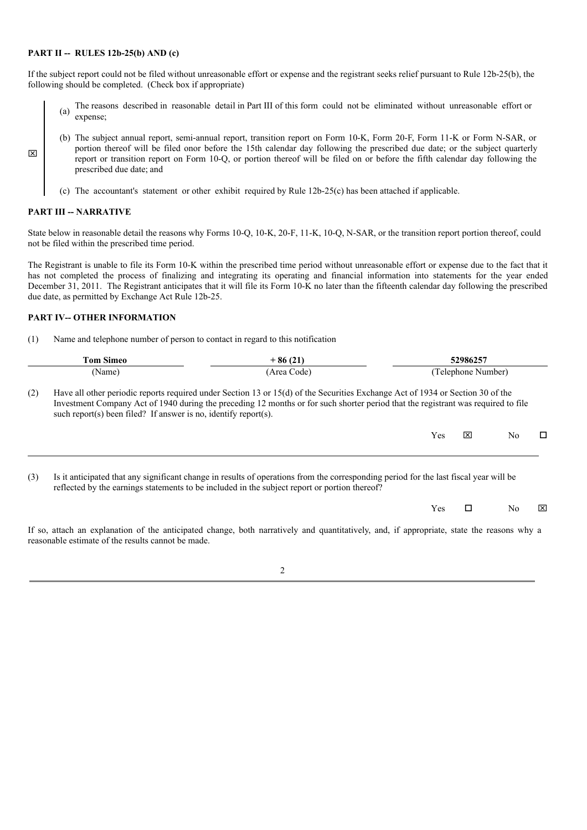#### **PART II -- RULES 12b-25(b) AND (c)**

If the subject report could not be filed without unreasonable effort or expense and the registrant seeks relief pursuant to Rule 12b-25(b), the following should be completed. (Check box if appropriate)

- (a) The reasons described in reasonable detail in Part III of this form could not be eliminated without unreasonable effort or expense;
- (b) The subject annual report, semi-annual report, transition report on Form 10-K, Form 20-F, Form 11-K or Form N-SAR, or portion thereof will be filed onor before the 15th calendar day following the prescribed due date; or the subject quarterly report or transition report on Form 10-Q, or portion thereof will be filed on or before the fifth calendar day following the prescribed due date; and
	- (c) The accountant's statement or other exhibit required by Rule 12b-25(c) has been attached if applicable.

#### **PART III -- NARRATIVE**

x

State below in reasonable detail the reasons why Forms 10-Q, 10-K, 20-F, 11-K, 10-Q, N-SAR, or the transition report portion thereof, could not be filed within the prescribed time period.

The Registrant is unable to file its Form 10-K within the prescribed time period without unreasonable effort or expense due to the fact that it has not completed the process of finalizing and integrating its operating and financial information into statements for the year ended December 31, 2011. The Registrant anticipates that it will file its Form 10-K no later than the fifteenth calendar day following the prescribed due date, as permitted by Exchange Act Rule 12b-25.

#### **PART IV-- OTHER INFORMATION**

(1) Name and telephone number of person to contact in regard to this notification

| <b>Tom Simeo</b> |                                                                 | $+86(21)$                                                                                                                                                                                                                                                           |            | 52986257           |     |   |  |
|------------------|-----------------------------------------------------------------|---------------------------------------------------------------------------------------------------------------------------------------------------------------------------------------------------------------------------------------------------------------------|------------|--------------------|-----|---|--|
| (Name)           |                                                                 | (Area Code)                                                                                                                                                                                                                                                         |            | (Telephone Number) |     |   |  |
| (2)              | such report(s) been filed? If answer is no, identify report(s). | Have all other periodic reports required under Section 13 or 15(d) of the Securities Exchange Act of 1934 or Section 30 of the<br>Investment Company Act of 1940 during the preceding 12 months or for such shorter period that the registrant was required to file |            |                    |     |   |  |
|                  |                                                                 |                                                                                                                                                                                                                                                                     | Yes        | $\mathbf{x}$       | No. | □ |  |
| (3)              |                                                                 | Is it anticipated that any significant change in results of operations from the corresponding period for the last fiscal year will be<br>reflected by the earnings statements to be included in the subject report or portion thereof?                              |            |                    |     |   |  |
|                  |                                                                 |                                                                                                                                                                                                                                                                     | <b>Yes</b> | □                  | No. | ⊠ |  |
|                  | reasonable estimate of the results cannot be made               | If so, attach an explanation of the anticipated change, both narratively and quantitatively, and, if appropriate, state the reasons why a                                                                                                                           |            |                    |     |   |  |

2